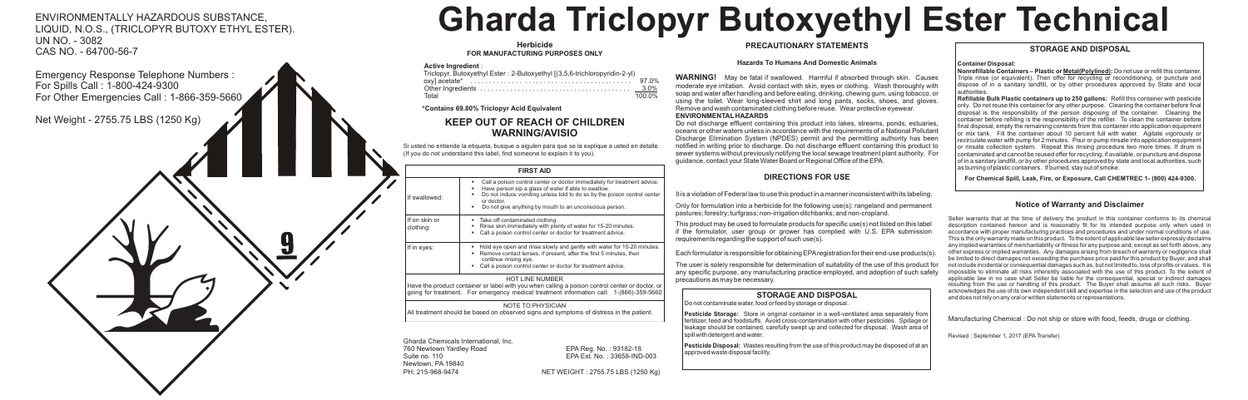#### **Herbicide FOR MANUFACTURING PURPOSES ONLY**

Triclopyr, Butoxyethyl Ester : 2-Butoxyethyl [(3,5,6-trichloropyridin-2-yl)

|       | $.0\%$ |
|-------|--------|
|       |        |
| Total | 100 0% |

# **KEEP OUT OF REACH OF CHILDREN WARNING/AVISIO**

Si usted no entiende la etiqueta, busque a aigulen para que se la explique a usted en detalle.

PH: 215-968-9474 NET WEIGHT : 2755.75 LBS (1250 Kg)

### **FIRST AID**

■ Call a poison control center or doctor immediately for treatment advice. **EXECT** Have person sip a glass of water if able to swallow.

■ Do not induce vomiting unless told to do so by the poison control center

■ Do not give anything by mouth to an unconscious person

■ Take off contaminated clothing.

■ Rinse skin immediately with plenty of water for 15-20 minutes. ■ Call a poison control center or doctor for treatment advice.

If in eyes: **If in eyes:** Bold eye open and rinse slowly and gently with water for 15-20 minutes. ■ Remove contact lenses, if present, after the first 5 minutes, then

■ Call a poison control center or doctor for treatment advice.

#### HOT LINE NUMBER

Have the product container or label with you when calling a poison control center or doctor, or going for treatment. For emergency medical treatment information call: 1-(866)-359-5660

#### NOTE TO PHYSICIAN

All treatment should be based on observed signs and symptoms of distress in the patient.

## **Notice of Warranty and Disclaimer**



Seller warrants that at the time of delivery the product in this container conforms to its chemical description contained hereon and is reasonably fit for its intended purpose only when used in accordance with proper manufacturing practices and procedures and under normal conditions of use. This is the only warranty made on this product. To the extent of applicable law seller expressly disclaims any implied warranties of merchantability or fitness for any purpose and, except as set forth above, any other express or implied warranties. Any damages arising from breach of warranty or negligence shall be limited to direct damages not exceeding the purchase price paid for this product by Buyer, and shall not include incidental or consequential damages such as, but not limited to, loss of profits or values. It is impossible to eliminate all risks inherently associated with the use of this product. To the extent of applicable law in no case shall Seller be liable for the consequential, special or indirect damages resulting from the use or handling of this product. The Buyer shall assume all such risks. Buyer acknowledges the use of its own independent skill and expertise in the selection and use of the product and does not rely on any oral or written statements or representations.

Manufacturing Chemical : Do not ship or store with food, feeds, drugs or clothing.

Revised : September 1, 2017 (EPA Transfer)

# **STORAGE AND DISPOSAL**

# **Container Disposal:**

**Nonrefillable Containers – Plastic or Metal(Polylined):** Do not use or refill this container. Triple rinse (or equivalent). Then offer for recycling or reconditioning, or puncture and dispose of in a sanitary landfill, or by other procedures approved by State and local authorities.

**Refillable Bulk Plastic containers up to 250 gallons:** Refill this container with pesticide only. Do not reuse this container for any other purpose. Cleaning the container before final disposal is the responsibility of the person disposing of the container. Cleaning the container before refilling is the responsibility of the refiller. To clean the container before final disposal, empty the remaining contents from this container into application equipment or mix tank. Fill the container about 10 percent full with water. Agitate vigorously or recirculate water with pump for 2 minutes. Pour or pump rinsate into application equipment or rinsate collection system. Repeat this rinsing procedure two more times. If drum is contaminated and cannot be reused offer for recycling, if available, or puncture and dispose of in a sanitary landfill, or by other procedures approved by state and local authorities, such as burning of plastic containers. If burned, stay out of smoke.

 **For Chemical Spill, Leak, Fire, or Exposure, Call CHEMTREC 1- (800) 424-9300.** 

ENVIRONMENTALLY HAZARDOUS SUBSTANCE, LIQUID, N.O.S., (TRICLOPYR BUTOXY ETHYL ESTER). UN NO. - 3082 CAS NO. - 64700-56-7

# **Gharda Triclopyr Butoxyethyl Ester Technical**

## **PRECAUTIONARY STATEMENTS**

#### **Hazards To Humans And Domestic Animals**

**WARNING!** May be fatal if swallowed. Harmful if absorbed through skin. Causes moderate eye irritation. Avoid contact with skin, eyes or clothing. Wash thoroughly with soap and water after handling and before eating, drinking, chewing gum, using tobacco, or using the toilet. Wear long-sleeved shirt and long pants, socks, shoes, and gloves. Remove and wash contaminated clothing before reuse. Wear protective eyewear. **ENVIRONMENTAL HAZARDS**

Do not discharge effluent containing this product into lakes, streams, ponds, estuaries, oceans or other waters unless in accordance with the requirements of a National Pollutant Discharge Elimination System (NPDES) permit and the permitting authority has been notified in writing prior to discharge. Do not discharge effluent containing this product to sewer systems without previously notifying the local sewage treatment plant authority. For guidance, contact your State Water Board or Regional Office of the EPA.

# **DIRECTIONS FOR USE**

It is a violation of Federal law to use this product in a manner inconsistent with its labeling.

Only for formulation into a herbicide for the following use(s): rangeland and permanent pastures; forestry; turfgrass; non-irrigation ditchbanks; and non-cropland.

This product may be used to formulate products for specific use(s) not listed on this label if the formulator, user group or grower has complied with U.S. EPA submission requirements regarding the support of such use(s).

Each formulator is responsible for obtaining EPAregistration for their end-use products(s).

The user is solely responsible for determination of suitability of the use of this product for any specific purpose, any manufacturing practice employed, and adoption of such safety precautions as may be necessary.

# **STORAGE AND DISPOSAL**

Do not contaminate water, food or feed by storage or disposal.

**Pesticide Storage:** Store in original container in a well-ventilated area separately from fertilizer, feed and foodstuffs. Avoid cross-contamination with other pesticides. Spillage or leakage should be contained, carefully swept up and collected for disposal. Wash area of spill with detergent and water.

**Pesticide Disposal:** Wastes resulting from the use of this product may be disposed of at an approved waste disposal facility.